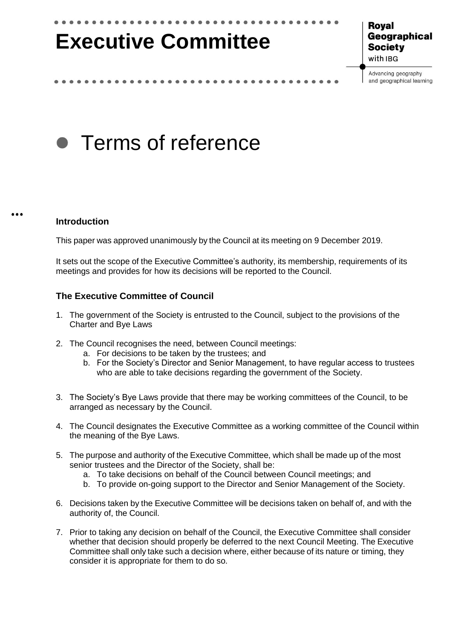# **Executive Committee**

**Royal** Geographical **Society** with IBG

Advancing geography and geographical learning

## • Terms of reference

#### **Introduction**

This paper was approved unanimously by the Council at its meeting on 9 December 2019.

It sets out the scope of the Executive Committee's authority, its membership, requirements of its meetings and provides for how its decisions will be reported to the Council.

#### **The Executive Committee of Council**

- 1. The government of the Society is entrusted to the Council, subject to the provisions of the Charter and Bye Laws
- 2. The Council recognises the need, between Council meetings:
	- a. For decisions to be taken by the trustees; and
	- b. For the Society's Director and Senior Management, to have regular access to trustees who are able to take decisions regarding the government of the Society.
- 3. The Society's Bye Laws provide that there may be working committees of the Council, to be arranged as necessary by the Council.
- 4. The Council designates the Executive Committee as a working committee of the Council within the meaning of the Bye Laws.
- 5. The purpose and authority of the Executive Committee, which shall be made up of the most senior trustees and the Director of the Society, shall be:
	- a. To take decisions on behalf of the Council between Council meetings; and
	- b. To provide on-going support to the Director and Senior Management of the Society.
- 6. Decisions taken by the Executive Committee will be decisions taken on behalf of, and with the authority of, the Council.
- 7. Prior to taking any decision on behalf of the Council, the Executive Committee shall consider whether that decision should properly be deferred to the next Council Meeting. The Executive Committee shall only take such a decision where, either because of its nature or timing, they consider it is appropriate for them to do so.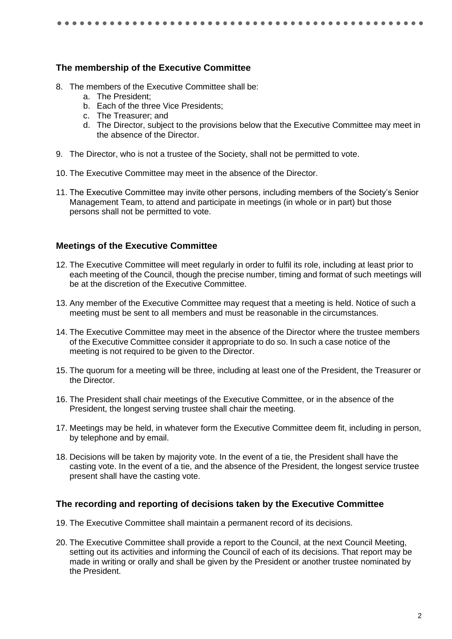#### **The membership of the Executive Committee**

- 8. The members of the Executive Committee shall be:
	- a. The President;
	- b. Each of the three Vice Presidents;
	- c. The Treasurer; and
	- d. The Director, subject to the provisions below that the Executive Committee may meet in the absence of the Director.
- 9. The Director, who is not a trustee of the Society, shall not be permitted to vote.
- 10. The Executive Committee may meet in the absence of the Director.
- 11. The Executive Committee may invite other persons, including members of the Society's Senior Management Team, to attend and participate in meetings (in whole or in part) but those persons shall not be permitted to vote.

#### **Meetings of the Executive Committee**

- 12. The Executive Committee will meet regularly in order to fulfil its role, including at least prior to each meeting of the Council, though the precise number, timing and format of such meetings will be at the discretion of the Executive Committee.
- 13. Any member of the Executive Committee may request that a meeting is held. Notice of such a meeting must be sent to all members and must be reasonable in the circumstances.
- 14. The Executive Committee may meet in the absence of the Director where the trustee members of the Executive Committee consider it appropriate to do so. In such a case notice of the meeting is not required to be given to the Director.
- 15. The quorum for a meeting will be three, including at least one of the President, the Treasurer or the Director.
- 16. The President shall chair meetings of the Executive Committee, or in the absence of the President, the longest serving trustee shall chair the meeting.
- 17. Meetings may be held, in whatever form the Executive Committee deem fit, including in person, by telephone and by email.
- 18. Decisions will be taken by majority vote. In the event of a tie, the President shall have the casting vote. In the event of a tie, and the absence of the President, the longest service trustee present shall have the casting vote.

#### **The recording and reporting of decisions taken by the Executive Committee**

- 19. The Executive Committee shall maintain a permanent record of its decisions.
- 20. The Executive Committee shall provide a report to the Council, at the next Council Meeting, setting out its activities and informing the Council of each of its decisions. That report may be made in writing or orally and shall be given by the President or another trustee nominated by the President.